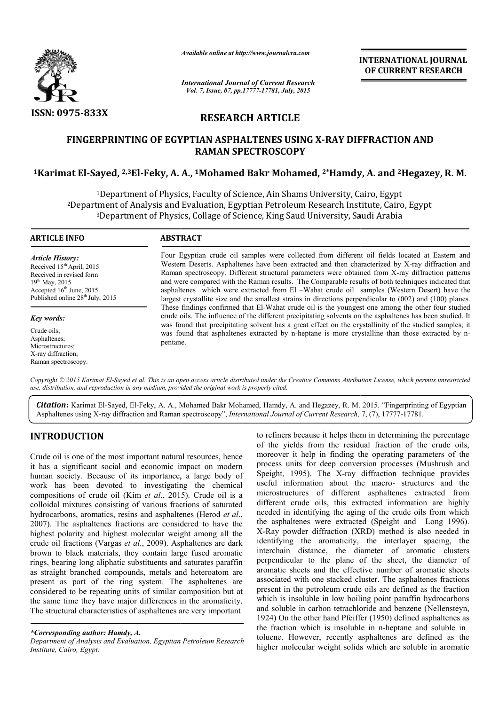

*Available online at http://www.journalcra.com*

*International Journal of Current Research Vol. 7, Issue, 07, pp.17777-17781, July, 2015*

**INTERNATIONAL INTERNATIONAL JOURNAL OF CURRENT RESEARCH** 

## **RESEARCH ARTICLE**

# **FINGERPRINTING OF EGYPTIAN ASPHALTENES USING X X-RAY DIFFRACTION AND 1Karimat El-Sayed, 2,3El-Feky, A. A. Feky, A., 1Mohamed Bakr Mohamed, 2\*Hamdy RAY Hamdy, A. and 2Hegazey, R. M. RAMAN SPECTROSCOPY**

1Department of Physics, Faculty of Science, Ain Shams University, Cairo, Egypt 2Department of Analysis and Evaluation, Egyptian Petroleum Research Institute, Cairo, Egypt <sup>3</sup>Department of Physics, Collage of Science, King Saud University, Saudi Arabia y of Science, Ain Shams University, Cairo, Egyp<br>ɔn, Egyptian Petroleum Research Institute, Caiı<br>e of Science, King Saud University, Saudi Arabi

#### **ARTICLE INFO ABSTRACT** Four Egyptian crude oil samples were collected from different oil fields located at Eastern and Western Deserts. Asphaltenes have been extracted and then characterized by X-ray diffraction and Western Deserts. Asphaltenes have been extracted and then characterized by X Raman spectroscopy. Different structural parameters were obtained from X-ray diffraction patterns and were compared with the Raman results. The Comparable results of both techniques indicated that asphaltenes which were extracted from El –Wahat crude oil samples (Western Desert) have the largest crystallite size and the smallest strains in directions perpendicular to (002) and (100) planes. These findings confirmed that El El-Wahat crude oil is the youngest one among the other four studied crude oils. The influence of the different precipitating solvents on the asphaltenes has been studied. It was found that precipitating solvent has a great effect on the crystallinity of the studied samples; it was found that asphaltenes extracted by n-heptane is more crystalline than those extracted by n-*Article History:* Received 15<sup>th</sup> April, 2015 Received in revised form 19<sup>th</sup> May, 2015 Accepted  $16<sup>th</sup>$  June, 2015 Published online  $28^{th}$  July, 2015 *Key words:*  $\overline{a}$ which were extracted from El –Wahat crude oil samples (Western Desert) have the stallite size and the smallest strains in directions perpendicular to (002) and (100) planes. ings confirmed that El-Wahat crude oil is the yo

Crude oils; Asphaltenes; Microstructures; X-ray diffraction; Raman spectroscopy.

*Copyright © 2015 Karimat El-Sayed et al. This is an open access article distributed under the Creative Commons Att Attribution License, which ribution permits unrestricted use, distribution, and reproduction in any medium, provided the original work is properly cited.*

*Citation***:** Karimat El-Sayed, El-Feky, A. A., Mohamed Bakr Mohamed, Hamdy, A. and Hegazey, R. M. 2015. "Fingerprinting of Egyptian Citation: Karimat El-Sayed, El-Feky, A. A., Mohamed Bakr Mohamed, Hamdy, A. and Hegazey, R. M. 2015. "Fingerprintir<br>Asphaltenes using X-ray diffraction and Raman spectroscopy", *International Journal of Current Research*,

## **INTRODUCTION**

Crude oil is one of the most important natural resources, hence it has a significant social and economic impact on modern human society. Because of its importance, a large body of work has been devoted to investigating the chemical compositions of crude oil (Kim *et al*., 2015). Crude oil is a colloidal mixtures consisting of various fractions of saturated hydrocarbons, aromatics, resins and asphaltenes (Herod *et al*., 2007). The asphaltenes fractions are considered to have the highest polarity and highest molecular weight among all the crude oil fractions (Vargas *et al*., 2009). Asphaltenes are dark brown to black materials, they contain large fused aromatic rings, bearing long aliphatic substituents and saturates paraffin as straight branched compounds, metals and heteroatom are present as part of the ring system. The asphaltenes are considered to be repeating units of similar composition but at the same time they have major differences in th The structural characteristics of asphaltenes are very important tituents and saturates paraffin<br>i, metals and heteroatom are<br>ystem. The asphaltenes are<br>of similar composition but at<br>lifferences in the aromaticity.

pentane.

to refiners because it helps them in determining the percentage of the yields from the residual fraction of the crude oils, moreover it help in finding the operating parameters of the process units for deep conversion processes (Mushrush and Speight, 1995). The X-ray diffraction technique provides useful information about the macro- structures and the microstructures of different asphaltenes extracted from different crude oils, this extracted information are highly needed in identifying the aging of the crude oils from which microstructures of different asphaltenes extracted from different crude oils, this extracted information are highly needed in identifying the aging of the crude oils from which the asphaltenes were extracted (Speight and L X-Ray powder diffraction (XRD) method is also needed in identifying the aromaticity, the interlayer spacing, the interchain distance, the diameter of aromatic clusters perpendicular to the plane of the sheet, the diameter of aromatic sheets and the effective number of aromatic sheets aromatic sheets and the effective number of aromatic sheets associated with one stacked cluster. The asphaltenes fractions present in the petroleum crude oils are defined as the fraction present in the petroleum crude oils are defined as the fraction which is insoluble in low boiling point paraffin hydrocarbons and soluble in carbon tetrachloride and benzene (Nellensteyn, 1924) On the other hand Pfeiffer (1950) defined asphaltenes as 1924) On the other hand Pfeiffer (1950) defined asphaltenes as the fraction which is insoluble in n-heptane and soluble in toluene. However, recently asphaltenes are defined as the higher molecular weight solids which are soluble in aromatic is from the residual fraction of the crude oils,<br>help in finding the operating parameters of the<br>is for deep conversion processes (Mushrush and<br>95). The X-ray diffraction technique provides Ray powder diffraction (XRD) method is also needed in entifying the aromaticity, the interlayer spacing, the erchain distance, the diameter of aromatic clusters rependicular to the plane of the sheet, the diameter of **JOURNAL**<br> **SEARCH**<br> **SEARCH**<br> **SEARCH**<br> **COURNAL**<br> **SEARCH**<br> **COURNAL**<br> **COURNAL**<br> **COURNAL**<br> **COURNAL**<br> **COURNAL**<br> **COURNAL**<br> **COURNAL**<br> **COURNAL**<br> **COURNAL**<br> **COURNAL**<br> **COURNAL**<br> **COURNAL**<br> **COURNAL**<br> **COURNAL**<br> **COURN** 

*<sup>\*</sup>Corresponding author: Hamdy, A.* 

*Department of Analysis and Evaluation, Egyptian Petroleum Research Institute, Cairo, Egypt.*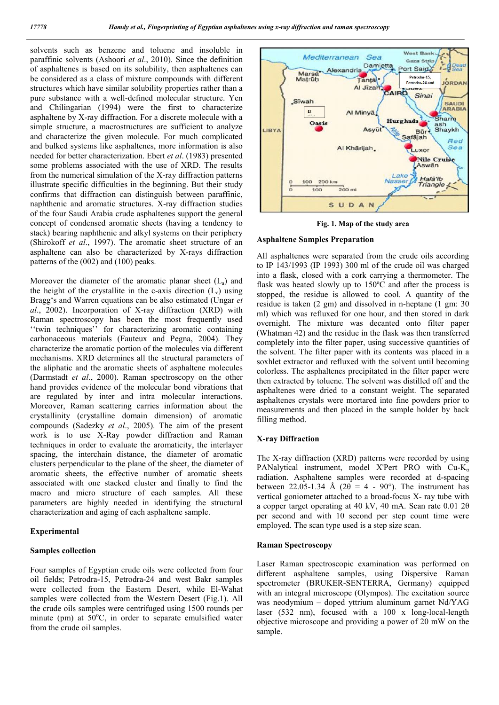solvents such as benzene and toluene and insoluble in paraffinic solvents (Ashoori *et al*., 2010). Since the definition of asphaltenes is based on its solubility, then asphaltenes can be considered as a class of mixture compounds with different structures which have similar solubility properties rather than a pure substance with a well-defined molecular structure. Yen and Chilingarian (1994) were the first to characterize asphaltene by X-ray diffraction. For a discrete molecule with a simple structure, a macrostructures are sufficient to analyze and characterize the given molecule. For much complicated and bulked systems like asphaltenes, more information is also needed for better characterization. Ebert *et al*. (1983) presented some problems associated with the use of XRD. The results from the numerical simulation of the X-ray diffraction patterns illustrate specific difficulties in the beginning. But their study confirms that diffraction can distinguish between paraffinic, naphthenic and aromatic structures. X-ray diffraction studies of the four Saudi Arabia crude asphaltenes support the general concept of condensed aromatic sheets (having a tendency to stack) bearing naphthenic and alkyl systems on their periphery (Shirokoff *et al*., 1997). The aromatic sheet structure of an asphaltene can also be characterized by X-rays diffraction patterns of the (002) and (100) peaks.

Moreover the diameter of the aromatic planar sheet  $(L_a)$  and the height of the crystallite in the c-axis direction  $(L<sub>c</sub>)$  using Bragg's and Warren equations can be also estimated (Ungar *et al*., 2002). Incorporation of X-ray diffraction (XRD) with Raman spectroscopy has been the most frequently used ''twin techniques'' for characterizing aromatic containing carbonaceous materials (Fauteux and Pegna, 2004). They characterize the aromatic portion of the molecules via different mechanisms. XRD determines all the structural parameters of the aliphatic and the aromatic sheets of asphaltene molecules (Darmstadt *et al*., 2000). Raman spectroscopy on the other hand provides evidence of the molecular bond vibrations that are regulated by inter and intra molecular interactions. Moreover, Raman scattering carries information about the crystallinity (crystalline domain dimension) of aromatic compounds (Sadezky *et al*., 2005). The aim of the present work is to use X-Ray powder diffraction and Raman techniques in order to evaluate the aromaticity, the interlayer spacing, the interchain distance, the diameter of aromatic clusters perpendicular to the plane of the sheet, the diameter of aromatic sheets, the effective number of aromatic sheets associated with one stacked cluster and finally to find the macro and micro structure of each samples. All these parameters are highly needed in identifying the structural characterization and aging of each asphaltene sample.

## **Experimental**

#### **Samples collection**

Four samples of Egyptian crude oils were collected from four oil fields; Petrodra-15, Petrodra-24 and west Bakr samples were collected from the Eastern Desert, while El-Wahat samples were collected from the Western Desert (Fig.1). All the crude oils samples were centrifuged using 1500 rounds per minute (pm) at  $50^{\circ}$ C, in order to separate emulsified water from the crude oil samples.



**Fig. 1. Map of the study area**

## **Asphaltene Samples Preparation**

All asphaltenes were separated from the crude oils according to IP 143/1993 (IP 1993) 300 ml of the crude oil was charged into a flask, closed with a cork carrying a thermometer. The flask was heated slowly up to 150ºC and after the process is stopped, the residue is allowed to cool. A quantity of the residue is taken (2 gm) and dissolved in n-heptane (1 gm: 30 ml) which was refluxed for one hour, and then stored in dark overnight. The mixture was decanted onto filter paper (Whatman 42) and the residue in the flask was then transferred completely into the filter paper, using successive quantities of the solvent. The filter paper with its contents was placed in a soxhlet extractor and refluxed with the solvent until becoming colorless. The asphaltenes precipitated in the filter paper were then extracted by toluene. The solvent was distilled off and the asphaltenes were dried to a constant weight. The separated asphaltenes crystals were mortared into fine powders prior to measurements and then placed in the sample holder by back filling method.

## **X-ray Diffraction**

The X-ray diffraction (XRD) patterns were recorded by using PANalytical instrument, model X'Pert PRO with Cu-K<sub>α</sub> radiation. Asphaltene samples were recorded at d-spacing between 22.05-1.34 Å (2 $\theta$  = 4 - 90°). The instrument has vertical goniometer attached to a broad-focus X- ray tube with a copper target operating at 40 kV, 40 mA. Scan rate 0.01 2θ per second and with 10 second per step count time were employed. The scan type used is a step size scan.

## **Raman Spectroscopy**

Laser Raman spectroscopic examination was performed on different asphaltene samples, using Dispersive Raman spectrometer (BRUKER-SENTERRA, Germany) equipped with an integral microscope (Olympos). The excitation source was neodymium – doped yttrium aluminum garnet Nd/YAG laser (532 nm), focused with a 100 x long-local-length objective microscope and providing a power of 20 mW on the sample.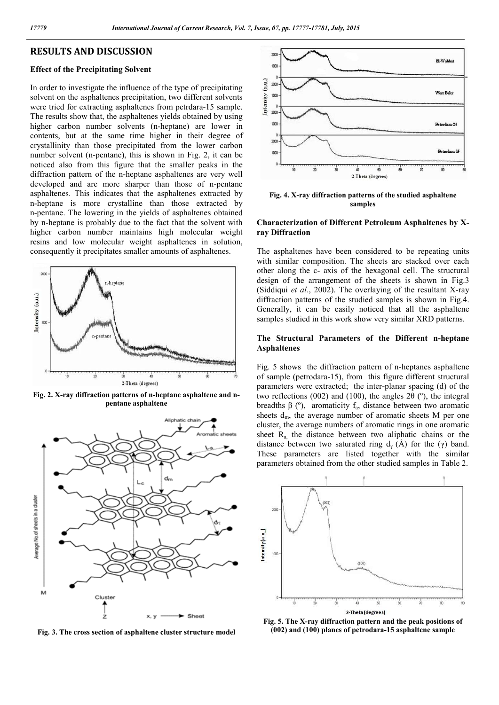## **RESULTS AND DISCUSSION**

#### **Effect of the Precipitating Solvent**

In order to investigate the influence of the type of precipitating solvent on the asphaltenes precipitation, two different solvents were tried for extracting asphaltenes from petrdara-15 sample. The results show that, the asphaltenes yields obtained by using higher carbon number solvents (n-heptane) are lower in contents, but at the same time higher in their degree of crystallinity than those precipitated from the lower carbon number solvent (n-pentane), this is shown in Fig. 2, it can be noticed also from this figure that the smaller peaks in the diffraction pattern of the n-heptane asphaltenes are very well developed and are more sharper than those of n-pentane asphaltenes. This indicates that the asphaltenes extracted by n-heptane is more crystalline than those extracted by n-pentane. The lowering in the yields of asphaltenes obtained by n-heptane is probably due to the fact that the solvent with higher carbon number maintains high molecular weight resins and low molecular weight asphaltenes in solution, consequently it precipitates smaller amounts of asphaltenes.



**Fig. 2. X-ray diffraction patterns of n-heptane asphaltene and npentane asphaltene**



**Fig. 3. The cross section of asphaltene cluster structure model**



**Fig. 4. X-ray diffraction patterns of the studied asphaltene samples**

## **Characterization of Different Petroleum Asphaltenes by Xray Diffraction**

The asphaltenes have been considered to be repeating units with similar composition. The sheets are stacked over each other along the c- axis of the hexagonal cell. The structural design of the arrangement of the sheets is shown in Fig.3 (Siddiqui *et al*., 2002). The overlaying of the resultant X-ray diffraction patterns of the studied samples is shown in Fig.4. Generally, it can be easily noticed that all the asphaltene samples studied in this work show very similar XRD patterns.

## **The Structural Parameters of the Different n-heptane Asphaltenes**

Fig. 5 shows the diffraction pattern of n-heptanes asphaltene of sample (petrodara-15), from this figure different structural parameters were extracted; the inter-planar spacing (d) of the two reflections (002) and (100), the angles 2 $\theta$  ( $\degree$ ), the integral breadths β ( $\degree$ ), aromaticity f<sub>a</sub>, distance between two aromatic sheets  $d_m$ , the average number of aromatic sheets M per one cluster, the average numbers of aromatic rings in one aromatic sheet  $R_a$  the distance between two aliphatic chains or the distance between two saturated ring  $d<sub>y</sub>$  (Å) for the (γ) band. These parameters are listed together with the similar parameters obtained from the other studied samples in Table 2.



**Fig. 5. The X-ray diffraction pattern and the peak positions of (002) and (100) planes of petrodara-15 asphaltene sample**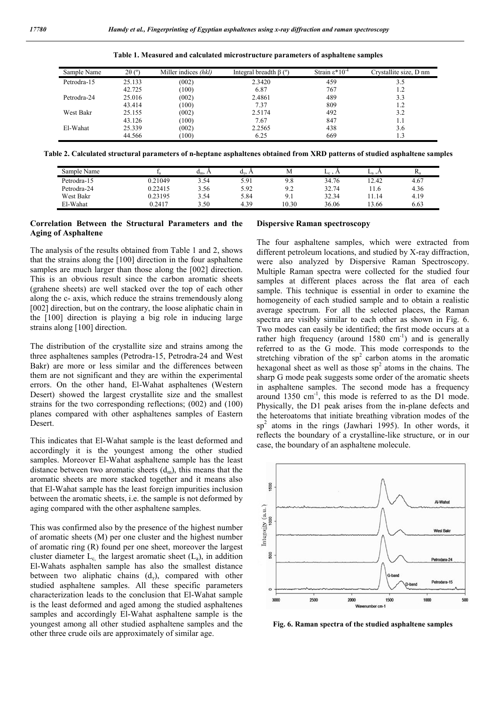| Sample Name | $2\theta$ (°) | Miller indices (hkl) | Integral breadth $\beta$ ( $\degree$ ) | Strain $\epsilon$ *10 <sup>-4</sup> | Crystallite size, D nm |
|-------------|---------------|----------------------|----------------------------------------|-------------------------------------|------------------------|
| Petrodra-15 | 25.133        | (002)                | 2.3420                                 | 459                                 | 3.5                    |
|             | 42.725        | (100)                | 6.87                                   | 767                                 | 1.2                    |
| Petrodra-24 | 25.016        | (002)                | 2.4861                                 | 489                                 | 3.3                    |
|             | 43.414        | (100)                | 7.37                                   | 809                                 | 1.2                    |
| West Bakr   | 25.155        | (002)                | 2.5174                                 | 492                                 | 3.2                    |
|             | 43.126        | (100)                | 7.67                                   | 847                                 | 1.1                    |
| El-Wahat    | 25.339        | (002)                | 2.2565                                 | 438                                 | 3.6                    |
|             | 44.566        | (100)                | 6.25                                   | 669                                 |                        |

**Table 1. Measured and calculated microstructure parameters of asphaltene samples**

**Table 2. Calculated structural parameters of n-heptane asphaltenes obtained from XRD patterns of studied asphaltene samples**

| Sample Name |         | $u_m$ , $\Delta$ | d.   | М               | $L_c$ , $\Lambda$ | $L_3, A$ | Ρ.   |
|-------------|---------|------------------|------|-----------------|-------------------|----------|------|
| Petrodra-15 | 0.21049 | 3.54             | 5.91 | 9.8             | 34.76             | 12.42    | 4.67 |
| Petrodra-24 | 0.22415 | 3.56             | 5.92 | $\Omega$<br>ے . | 32.74             | 11.0     | 4.36 |
| West Bakr   | 0.23195 | 3.54             | 5.84 | 9.1             | 32.34             | 11.14    | 4.19 |
| El-Wahat    | 0.2417  | 3.50             | 4.39 | 10.30           | 36.06             | 13.66    | 6.63 |

## **Correlation Between the Structural Parameters and the Aging of Asphaltene**

The analysis of the results obtained from Table 1 and 2, shows that the strains along the [100] direction in the four asphaltene samples are much larger than those along the [002] direction. This is an obvious result since the carbon aromatic sheets (grahene sheets) are well stacked over the top of each other along the c- axis, which reduce the strains tremendously along [002] direction, but on the contrary, the loose aliphatic chain in the [100] direction is playing a big role in inducing large strains along [100] direction.

The distribution of the crystallite size and strains among the three asphaltenes samples (Petrodra-15, Petrodra-24 and West Bakr) are more or less similar and the differences between them are not significant and they are within the experimental errors. On the other hand, El-Wahat asphaltenes (Western Desert) showed the largest crystallite size and the smallest strains for the two corresponding reflections; (002) and (100) planes compared with other asphaltenes samples of Eastern Desert.

This indicates that El-Wahat sample is the least deformed and accordingly it is the youngest among the other studied samples. Moreover El-Wahat asphaltene sample has the least distance between two aromatic sheets  $(d_m)$ , this means that the aromatic sheets are more stacked together and it means also that El-Wahat sample has the least foreign impurities inclusion between the aromatic sheets, i.e. the sample is not deformed by aging compared with the other asphaltene samples.

This was confirmed also by the presence of the highest number of aromatic sheets (M) per one cluster and the highest number of aromatic ring (R) found per one sheet, moreover the largest cluster diameter  $L_c$ , the largest aromatic sheet  $(L_a)$ , in addition El-Wahats asphalten sample has also the smallest distance between two aliphatic chains  $(d<sub>y</sub>)$ , compared with other studied asphaltene samples. All these specific parameters characterization leads to the conclusion that El-Wahat sample is the least deformed and aged among the studied asphaltenes samples and accordingly El-Wahat asphaltene sample is the youngest among all other studied asphaltene samples and the other three crude oils are approximately of similar age.

## **Dispersive Raman spectroscopy**

The four asphaltene samples, which were extracted from different petroleum locations, and studied by X-ray diffraction, were also analyzed by Dispersive Raman Spectroscopy. Multiple Raman spectra were collected for the studied four samples at different places across the flat area of each sample. This technique is essential in order to examine the homogeneity of each studied sample and to obtain a realistic average spectrum. For all the selected places, the Raman spectra are visibly similar to each other as shown in Fig. 6. Two modes can easily be identified; the first mode occurs at a rather high frequency (around  $1580 \text{ cm}^{-1}$ ) and is generally referred to as the G mode. This mode corresponds to the stretching vibration of the  $sp<sup>2</sup>$  carbon atoms in the aromatic hexagonal sheet as well as those  $sp<sup>2</sup>$  atoms in the chains. The sharp G mode peak suggests some order of the aromatic sheets in asphaltene samples. The second mode has a frequency around 1350 cm<sup>-1</sup>, this mode is referred to as the D1 mode. Physically, the D1 peak arises from the in-plane defects and the heteroatoms that initiate breathing vibration modes of the  $sp<sup>2</sup>$  atoms in the rings (Jawhari 1995). In other words, it reflects the boundary of a crystalline-like structure, or in our case, the boundary of an asphaltene molecule.



**Fig. 6. Raman spectra of the studied asphaltene samples**